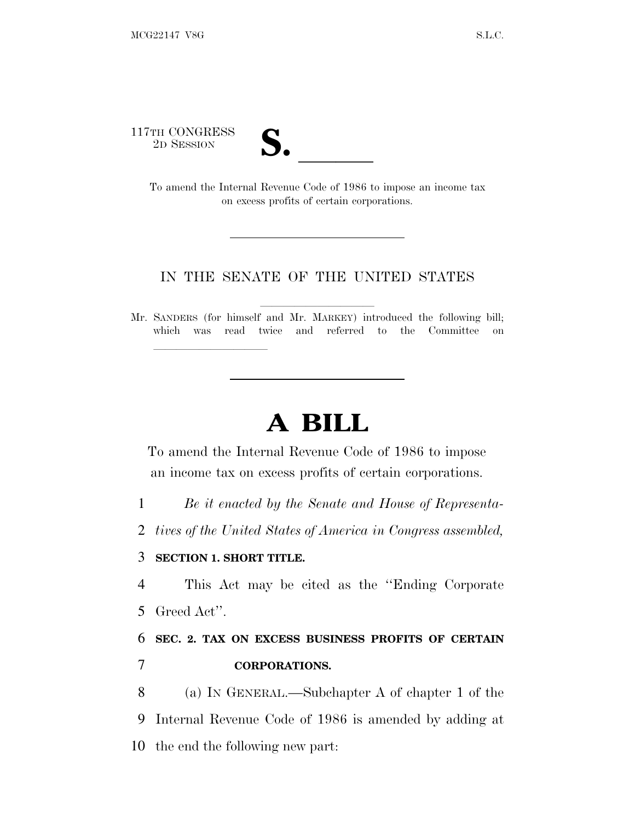117TH CONGRESS

TH CONGRESS<br>
2D SESSION<br>
To amend the Internal Revenue Code of 1986 to impose an income tax on excess profits of certain corporations.

## IN THE SENATE OF THE UNITED STATES

Mr. SANDERS (for himself and Mr. MARKEY) introduced the following bill; which was read twice and referred to the Committee on

## **A BILL**

To amend the Internal Revenue Code of 1986 to impose an income tax on excess profits of certain corporations.

1 *Be it enacted by the Senate and House of Representa-*

2 *tives of the United States of America in Congress assembled,*

## 3 **SECTION 1. SHORT TITLE.**

lla se al consegue de la consegue de la consegue de la consegue de la consegue de la consegue de la consegue d<br>La consegue de la consegue de la consegue de la consegue de la consegue de la consegue de la consegue de la co

4 This Act may be cited as the ''Ending Corporate 5 Greed Act''.

6 **SEC. 2. TAX ON EXCESS BUSINESS PROFITS OF CERTAIN** 7 **CORPORATIONS.**

8 (a) I<sup>N</sup> GENERAL.—Subchapter A of chapter 1 of the 9 Internal Revenue Code of 1986 is amended by adding at 10 the end the following new part: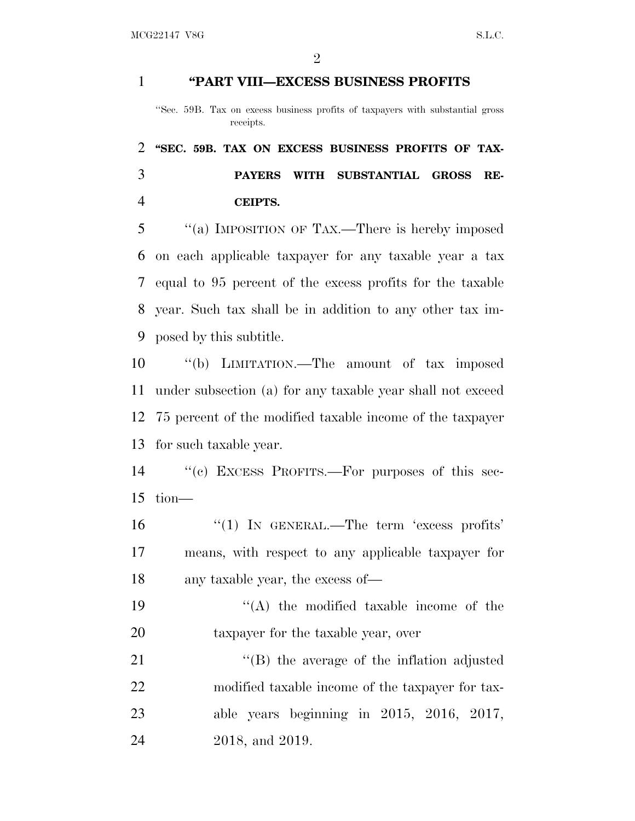## **''PART VIII—EXCESS BUSINESS PROFITS**

''Sec. 59B. Tax on excess business profits of taxpayers with substantial gross receipts.

 **''SEC. 59B. TAX ON EXCESS BUSINESS PROFITS OF TAX- PAYERS WITH SUBSTANTIAL GROSS RE-CEIPTS.**

 ''(a) IMPOSITION OF TAX.—There is hereby imposed on each applicable taxpayer for any taxable year a tax equal to 95 percent of the excess profits for the taxable year. Such tax shall be in addition to any other tax im-posed by this subtitle.

 ''(b) LIMITATION.—The amount of tax imposed under subsection (a) for any taxable year shall not exceed 75 percent of the modified taxable income of the taxpayer for such taxable year.

 ''(c) EXCESS PROFITS.—For purposes of this sec-tion—

16  $\frac{1}{2}$  (1) IN GENERAL.—The term 'excess profits' means, with respect to any applicable taxpayer for any taxable year, the excess of—

19 ''(A) the modified taxable income of the 20 taxpayer for the taxable year, over

21 "(B) the average of the inflation adjusted modified taxable income of the taxpayer for tax- able years beginning in 2015, 2016, 2017, 2018, and 2019.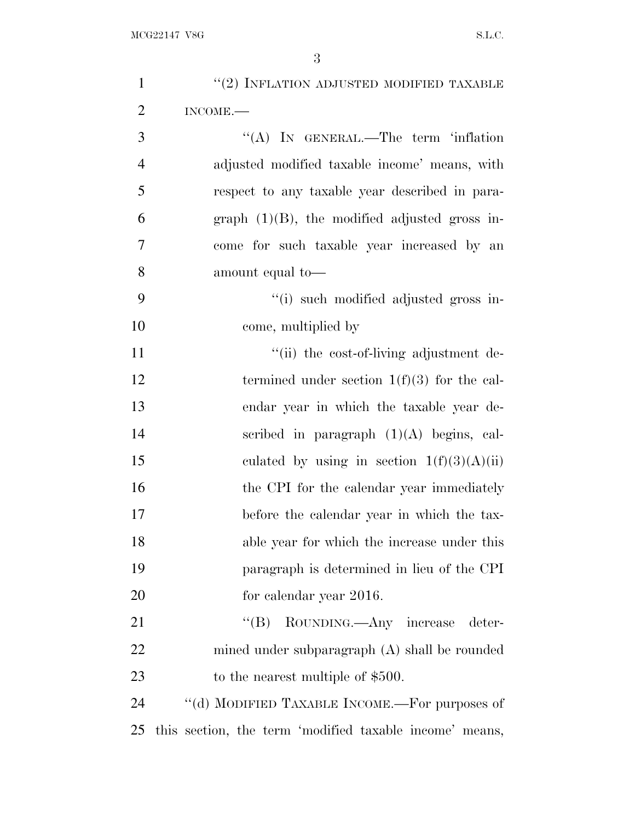| $\mathbf{1}$   | $\lq(2)$ INFLATION ADJUSTED MODIFIED TAXABLE            |
|----------------|---------------------------------------------------------|
| $\overline{2}$ | INCOME.                                                 |
| 3              | "(A) IN GENERAL.—The term 'inflation                    |
| $\overline{4}$ | adjusted modified taxable income' means, with           |
| 5              | respect to any taxable year described in para-          |
| 6              | graph $(1)(B)$ , the modified adjusted gross in-        |
| $\overline{7}$ | come for such taxable year increased by an              |
| 8              | amount equal to-                                        |
| 9              | "(i) such modified adjusted gross in-                   |
| 10             | come, multiplied by                                     |
| 11             | "(ii) the cost-of-living adjustment de-                 |
| 12             | termined under section $1(f)(3)$ for the cal-           |
| 13             | endar year in which the taxable year de-                |
| 14             | scribed in paragraph $(1)(A)$ begins, cal-              |
| 15             | culated by using in section $1(f)(3)(A)(ii)$            |
| 16             | the CPI for the calendar year immediately               |
| 17             | before the calendar year in which the tax-              |
| 18             | able year for which the increase under this             |
| 19             | paragraph is determined in lieu of the CPI              |
| 20             | for calendar year 2016.                                 |
| 21             | "(B) ROUNDING.—Any increase<br>deter-                   |
| 22             | mined under subparagraph $(A)$ shall be rounded         |
| 23             | to the nearest multiple of \$500.                       |
| 24             | "(d) MODIFIED TAXABLE INCOME.—For purposes of           |
| 25             | this section, the term 'modified taxable income' means, |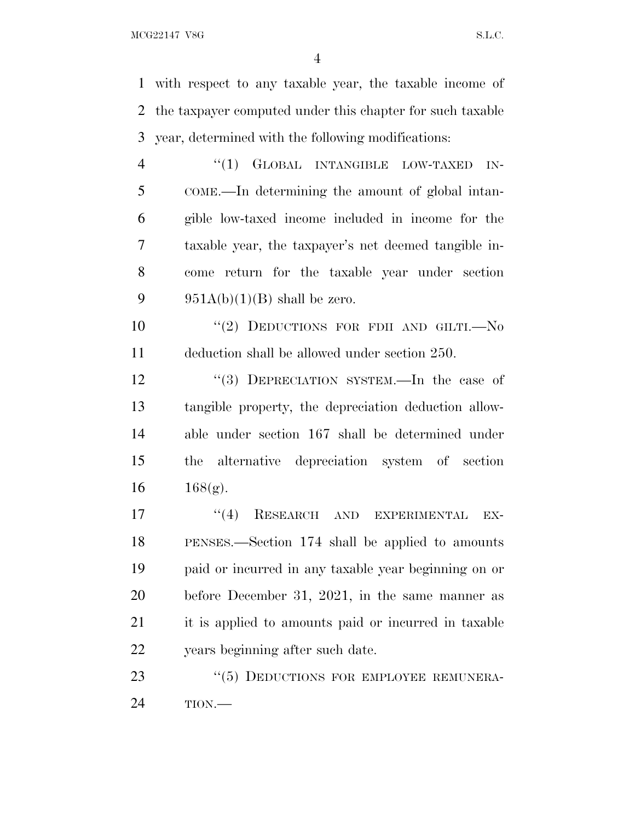$MCG22147 \text{ VSG}$  S.L.C.

 with respect to any taxable year, the taxable income of the taxpayer computed under this chapter for such taxable year, determined with the following modifications:

4 "(1) GLOBAL INTANGIBLE LOW-TAXED IN- COME.—In determining the amount of global intan- gible low-taxed income included in income for the taxable year, the taxpayer's net deemed tangible in- come return for the taxable year under section 9 951A(b)(1)(B) shall be zero.

10  $(2)$  DEDUCTIONS FOR FDII AND GILTI. No deduction shall be allowed under section 250.

12 "(3) DEPRECIATION SYSTEM.—In the case of tangible property, the depreciation deduction allow- able under section 167 shall be determined under the alternative depreciation system of section  $168(g)$ .

17 "(4) RESEARCH AND EXPERIMENTAL EX- PENSES.—Section 174 shall be applied to amounts paid or incurred in any taxable year beginning on or before December 31, 2021, in the same manner as it is applied to amounts paid or incurred in taxable years beginning after such date.

23 "(5) DEDUCTIONS FOR EMPLOYEE REMUNERA-TION.—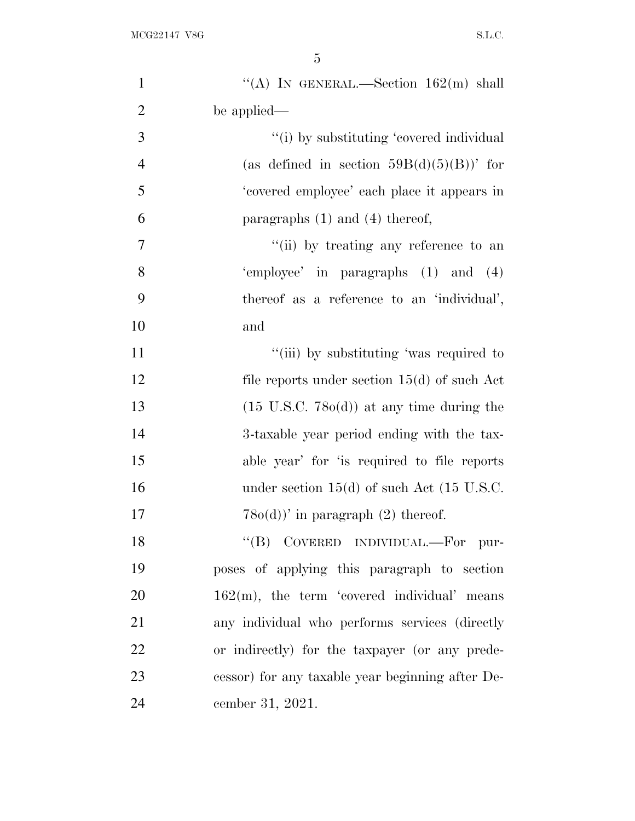| $\mathbf{1}$   | "(A) IN GENERAL.—Section $162(m)$ shall              |
|----------------|------------------------------------------------------|
| $\overline{2}$ | be applied—                                          |
| 3              | "(i) by substituting 'covered individual             |
| $\overline{4}$ | (as defined in section $59B(d)(5)(B)$ )' for         |
| 5              | 'covered employee' each place it appears in          |
| 6              | paragraphs $(1)$ and $(4)$ thereof,                  |
| $\overline{7}$ | "(ii) by treating any reference to an                |
| 8              | 'employee' in paragraphs (1) and (4)                 |
| 9              | thereof as a reference to an 'individual',           |
| 10             | and                                                  |
| 11             | "(iii) by substituting 'was required to              |
| 12             | file reports under section $15(d)$ of such Act       |
| 13             | $(15 \text{ U.S.C. } 780(d))$ at any time during the |
| 14             | 3-taxable year period ending with the tax-           |
| 15             | able year' for 'is required to file reports          |
| 16             | under section $15(d)$ of such Act (15 U.S.C.         |
| 17             | $(2)$ are $(2)$ thereof.                             |
| 18             | "(B) COVERED INDIVIDUAL.—For pur-                    |
| 19             | poses of applying this paragraph to section          |
| 20             | $162(m)$ , the term 'covered individual' means       |
| 21             | any individual who performs services (directly       |
| 22             | or indirectly) for the taxpayer (or any prede-       |
| 23             | cessor) for any taxable year beginning after De-     |
| 24             | cember 31, 2021.                                     |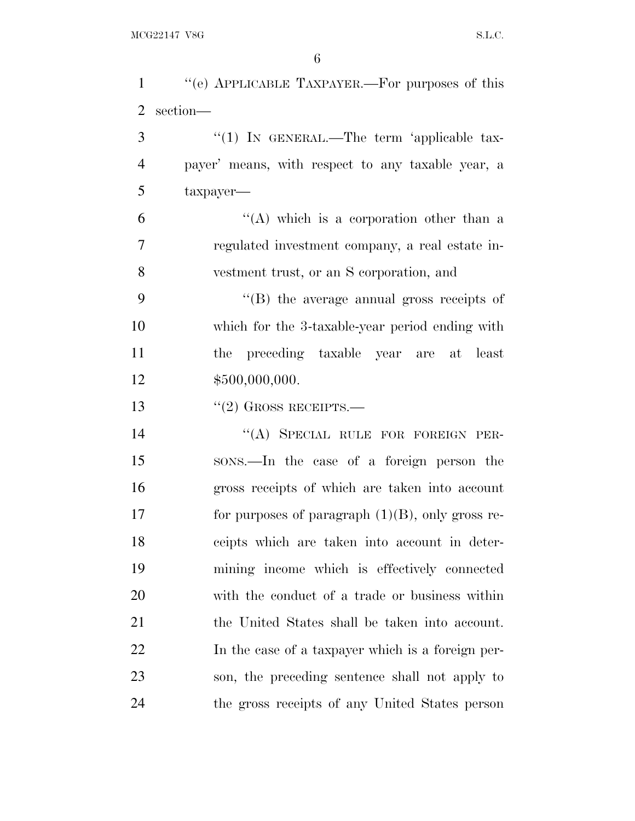| $\mathbf{1}$   | "(e) APPLICABLE TAXPAYER.—For purposes of this      |
|----------------|-----------------------------------------------------|
| $\overline{2}$ | $\rm section-\hspace{-1.5pt}-$                      |
| 3              | "(1) IN GENERAL.—The term 'applicable tax-          |
| $\overline{4}$ | payer' means, with respect to any taxable year, a   |
| 5              | $t$ axpayer—                                        |
| 6              | "(A) which is a corporation other than a            |
| $\overline{7}$ | regulated investment company, a real estate in-     |
| 8              | vestment trust, or an S corporation, and            |
| 9              | "(B) the average annual gross receipts of           |
| 10             | which for the 3-taxable-year period ending with     |
| 11             | the preceding taxable year are at least             |
| 12             | \$500,000,000.                                      |
| 13             | $``(2)$ GROSS RECEIPTS.—                            |
| 14             | "(A) SPECIAL RULE FOR FOREIGN PER-                  |
| 15             | sons.—In the case of a foreign person the           |
| 16             | gross receipts of which are taken into account      |
| 17             | for purposes of paragraph $(1)(B)$ , only gross re- |
| 18             | ceipts which are taken into account in deter-       |
| 19             | mining income which is effectively connected        |
| 20             | with the conduct of a trade or business within      |
| 21             | the United States shall be taken into account.      |
| 22             | In the case of a taxpayer which is a foreign per-   |
| 23             | son, the preceding sentence shall not apply to      |
| 24             | the gross receipts of any United States person      |